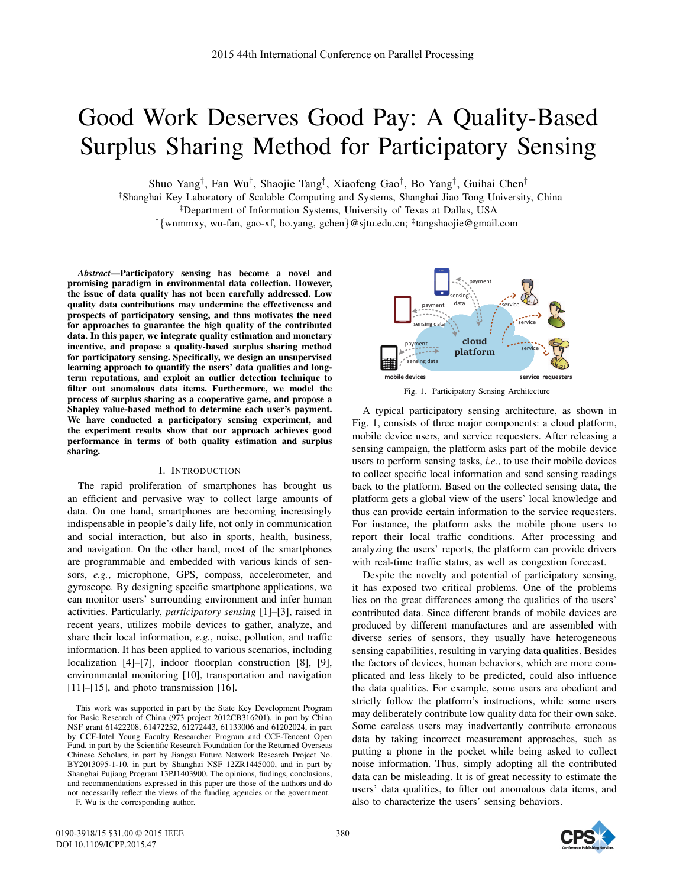# Good Work Deserves Good Pay: A Quality-Based Surplus Sharing Method for Participatory Sensing

Shuo Yang†, Fan Wu†, Shaojie Tang‡, Xiaofeng Gao†, Bo Yang†, Guihai Chen†

†Shanghai Key Laboratory of Scalable Computing and Systems, Shanghai Jiao Tong University, China

‡Department of Information Systems, University of Texas at Dallas, USA

<sup>†</sup>{wnmmxy, wu-fan, gao-xf, bo.yang, gchen}@sjtu.edu.cn; <sup>‡</sup>tangshaojie@gmail.com

*Abstract*—Participatory sensing has become a novel and promising paradigm in environmental data collection. However, the issue of data quality has not been carefully addressed. Low quality data contributions may undermine the effectiveness and prospects of participatory sensing, and thus motivates the need for approaches to guarantee the high quality of the contributed data. In this paper, we integrate quality estimation and monetary incentive, and propose a quality-based surplus sharing method for participatory sensing. Specifically, we design an unsupervised learning approach to quantify the users' data qualities and longterm reputations, and exploit an outlier detection technique to filter out anomalous data items. Furthermore, we model the process of surplus sharing as a cooperative game, and propose a Shapley value-based method to determine each user's payment. We have conducted a participatory sensing experiment, and the experiment results show that our approach achieves good performance in terms of both quality estimation and surplus sharing.

## I. INTRODUCTION

The rapid proliferation of smartphones has brought us an efficient and pervasive way to collect large amounts of data. On one hand, smartphones are becoming increasingly indispensable in people's daily life, not only in communication and social interaction, but also in sports, health, business, and navigation. On the other hand, most of the smartphones are programmable and embedded with various kinds of sensors, *e.g.*, microphone, GPS, compass, accelerometer, and gyroscope. By designing specific smartphone applications, we can monitor users' surrounding environment and infer human activities. Particularly, *participatory sensing* [1]–[3], raised in recent years, utilizes mobile devices to gather, analyze, and share their local information, *e.g.*, noise, pollution, and traffic information. It has been applied to various scenarios, including localization [4]–[7], indoor floorplan construction [8], [9], environmental monitoring [10], transportation and navigation [11]–[15], and photo transmission [16].

This work was supported in part by the State Key Development Program for Basic Research of China (973 project 2012CB316201), in part by China NSF grant 61422208, 61472252, 61272443, 61133006 and 61202024, in part by CCF-Intel Young Faculty Researcher Program and CCF-Tencent Open Fund, in part by the Scientific Research Foundation for the Returned Overseas Chinese Scholars, in part by Jiangsu Future Network Research Project No. BY2013095-1-10, in part by Shanghai NSF 12ZR1445000, and in part by Shanghai Pujiang Program 13PJ1403900. The opinions, findings, conclusions, and recommendations expressed in this paper are those of the authors and do not necessarily reflect the views of the funding agencies or the government.

F. Wu is the corresponding author.



Fig. 1. Participatory Sensing Architecture

A typical participatory sensing architecture, as shown in Fig. 1, consists of three major components: a cloud platform, mobile device users, and service requesters. After releasing a sensing campaign, the platform asks part of the mobile device users to perform sensing tasks, *i.e.*, to use their mobile devices to collect specific local information and send sensing readings back to the platform. Based on the collected sensing data, the platform gets a global view of the users' local knowledge and thus can provide certain information to the service requesters. For instance, the platform asks the mobile phone users to report their local traffic conditions. After processing and analyzing the users' reports, the platform can provide drivers with real-time traffic status, as well as congestion forecast.

Despite the novelty and potential of participatory sensing, it has exposed two critical problems. One of the problems lies on the great differences among the qualities of the users' contributed data. Since different brands of mobile devices are produced by different manufactures and are assembled with diverse series of sensors, they usually have heterogeneous sensing capabilities, resulting in varying data qualities. Besides the factors of devices, human behaviors, which are more complicated and less likely to be predicted, could also influence the data qualities. For example, some users are obedient and strictly follow the platform's instructions, while some users may deliberately contribute low quality data for their own sake. Some careless users may inadvertently contribute erroneous data by taking incorrect measurement approaches, such as putting a phone in the pocket while being asked to collect noise information. Thus, simply adopting all the contributed data can be misleading. It is of great necessity to estimate the users' data qualities, to filter out anomalous data items, and also to characterize the users' sensing behaviors.

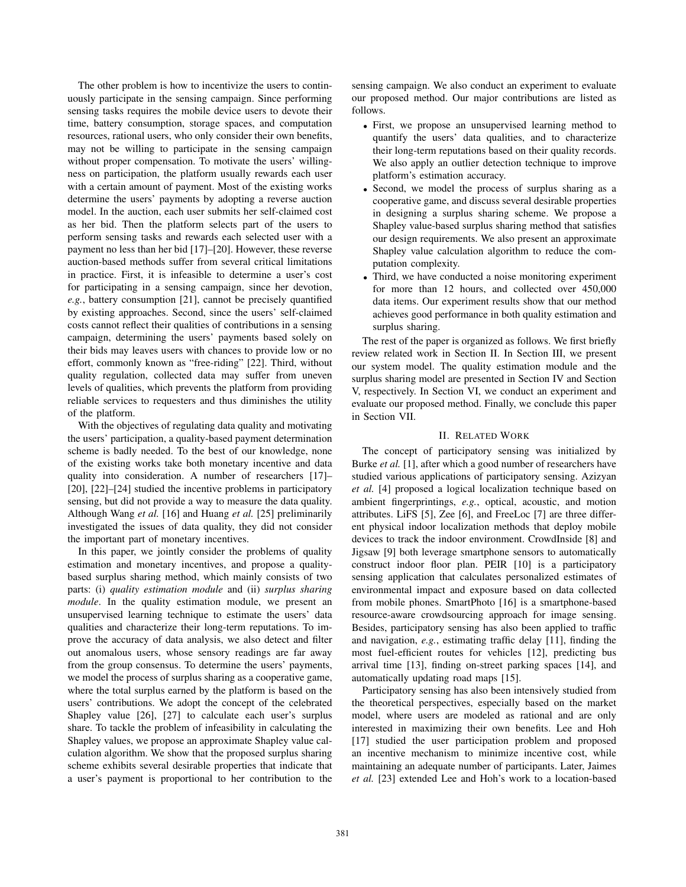The other problem is how to incentivize the users to continuously participate in the sensing campaign. Since performing sensing tasks requires the mobile device users to devote their time, battery consumption, storage spaces, and computation resources, rational users, who only consider their own benefits, may not be willing to participate in the sensing campaign without proper compensation. To motivate the users' willingness on participation, the platform usually rewards each user with a certain amount of payment. Most of the existing works determine the users' payments by adopting a reverse auction model. In the auction, each user submits her self-claimed cost as her bid. Then the platform selects part of the users to perform sensing tasks and rewards each selected user with a payment no less than her bid [17]–[20]. However, these reverse auction-based methods suffer from several critical limitations in practice. First, it is infeasible to determine a user's cost for participating in a sensing campaign, since her devotion, *e.g.*, battery consumption [21], cannot be precisely quantified by existing approaches. Second, since the users' self-claimed costs cannot reflect their qualities of contributions in a sensing campaign, determining the users' payments based solely on their bids may leaves users with chances to provide low or no effort, commonly known as "free-riding" [22]. Third, without quality regulation, collected data may suffer from uneven levels of qualities, which prevents the platform from providing reliable services to requesters and thus diminishes the utility of the platform.

With the objectives of regulating data quality and motivating the users' participation, a quality-based payment determination scheme is badly needed. To the best of our knowledge, none of the existing works take both monetary incentive and data quality into consideration. A number of researchers [17]– [20], [22]–[24] studied the incentive problems in participatory sensing, but did not provide a way to measure the data quality. Although Wang *et al.* [16] and Huang *et al.* [25] preliminarily investigated the issues of data quality, they did not consider the important part of monetary incentives.

In this paper, we jointly consider the problems of quality estimation and monetary incentives, and propose a qualitybased surplus sharing method, which mainly consists of two parts: (i) *quality estimation module* and (ii) *surplus sharing module*. In the quality estimation module, we present an unsupervised learning technique to estimate the users' data qualities and characterize their long-term reputations. To improve the accuracy of data analysis, we also detect and filter out anomalous users, whose sensory readings are far away from the group consensus. To determine the users' payments, we model the process of surplus sharing as a cooperative game, where the total surplus earned by the platform is based on the users' contributions. We adopt the concept of the celebrated Shapley value [26], [27] to calculate each user's surplus share. To tackle the problem of infeasibility in calculating the Shapley values, we propose an approximate Shapley value calculation algorithm. We show that the proposed surplus sharing scheme exhibits several desirable properties that indicate that a user's payment is proportional to her contribution to the sensing campaign. We also conduct an experiment to evaluate our proposed method. Our major contributions are listed as follows.

- First, we propose an unsupervised learning method to quantify the users' data qualities, and to characterize their long-term reputations based on their quality records. We also apply an outlier detection technique to improve platform's estimation accuracy.
- Second, we model the process of surplus sharing as a cooperative game, and discuss several desirable properties in designing a surplus sharing scheme. We propose a Shapley value-based surplus sharing method that satisfies our design requirements. We also present an approximate Shapley value calculation algorithm to reduce the computation complexity.
- Third, we have conducted a noise monitoring experiment for more than 12 hours, and collected over 450,000 data items. Our experiment results show that our method achieves good performance in both quality estimation and surplus sharing.

The rest of the paper is organized as follows. We first briefly review related work in Section II. In Section III, we present our system model. The quality estimation module and the surplus sharing model are presented in Section IV and Section V, respectively. In Section VI, we conduct an experiment and evaluate our proposed method. Finally, we conclude this paper in Section VII.

## II. RELATED WORK

The concept of participatory sensing was initialized by Burke *et al.* [1], after which a good number of researchers have studied various applications of participatory sensing. Azizyan *et al.* [4] proposed a logical localization technique based on ambient fingerprintings, *e.g.*, optical, acoustic, and motion attributes. LiFS [5], Zee [6], and FreeLoc [7] are three different physical indoor localization methods that deploy mobile devices to track the indoor environment. CrowdInside [8] and Jigsaw [9] both leverage smartphone sensors to automatically construct indoor floor plan. PEIR [10] is a participatory sensing application that calculates personalized estimates of environmental impact and exposure based on data collected from mobile phones. SmartPhoto [16] is a smartphone-based resource-aware crowdsourcing approach for image sensing. Besides, participatory sensing has also been applied to traffic and navigation, *e.g.*, estimating traffic delay [11], finding the most fuel-efficient routes for vehicles [12], predicting bus arrival time [13], finding on-street parking spaces [14], and automatically updating road maps [15].

Participatory sensing has also been intensively studied from the theoretical perspectives, especially based on the market model, where users are modeled as rational and are only interested in maximizing their own benefits. Lee and Hoh [17] studied the user participation problem and proposed an incentive mechanism to minimize incentive cost, while maintaining an adequate number of participants. Later, Jaimes *et al.* [23] extended Lee and Hoh's work to a location-based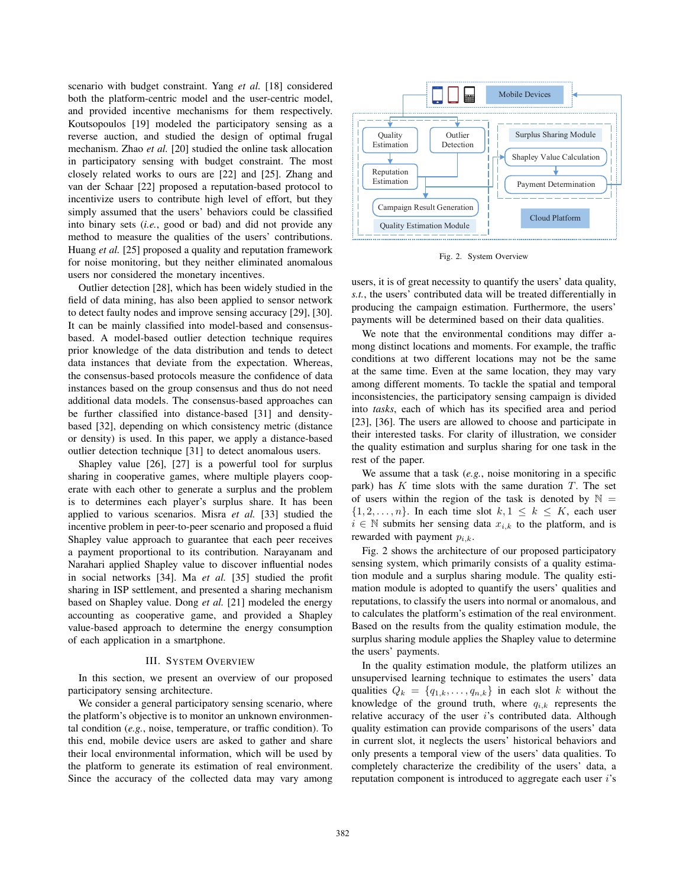scenario with budget constraint. Yang *et al.* [18] considered both the platform-centric model and the user-centric model, and provided incentive mechanisms for them respectively. Koutsopoulos [19] modeled the participatory sensing as a reverse auction, and studied the design of optimal frugal mechanism. Zhao *et al.* [20] studied the online task allocation in participatory sensing with budget constraint. The most closely related works to ours are [22] and [25]. Zhang and van der Schaar [22] proposed a reputation-based protocol to incentivize users to contribute high level of effort, but they simply assumed that the users' behaviors could be classified into binary sets (*i.e.*, good or bad) and did not provide any method to measure the qualities of the users' contributions. Huang *et al.* [25] proposed a quality and reputation framework for noise monitoring, but they neither eliminated anomalous users nor considered the monetary incentives.

Outlier detection [28], which has been widely studied in the field of data mining, has also been applied to sensor network to detect faulty nodes and improve sensing accuracy [29], [30]. It can be mainly classified into model-based and consensusbased. A model-based outlier detection technique requires prior knowledge of the data distribution and tends to detect data instances that deviate from the expectation. Whereas, the consensus-based protocols measure the confidence of data instances based on the group consensus and thus do not need additional data models. The consensus-based approaches can be further classified into distance-based [31] and densitybased [32], depending on which consistency metric (distance or density) is used. In this paper, we apply a distance-based outlier detection technique [31] to detect anomalous users.

Shapley value [26], [27] is a powerful tool for surplus sharing in cooperative games, where multiple players cooperate with each other to generate a surplus and the problem is to determines each player's surplus share. It has been applied to various scenarios. Misra *et al.* [33] studied the incentive problem in peer-to-peer scenario and proposed a fluid Shapley value approach to guarantee that each peer receives a payment proportional to its contribution. Narayanam and Narahari applied Shapley value to discover influential nodes in social networks [34]. Ma *et al.* [35] studied the profit sharing in ISP settlement, and presented a sharing mechanism based on Shapley value. Dong *et al.* [21] modeled the energy accounting as cooperative game, and provided a Shapley value-based approach to determine the energy consumption of each application in a smartphone.

#### III. SYSTEM OVERVIEW

In this section, we present an overview of our proposed participatory sensing architecture.

We consider a general participatory sensing scenario, where the platform's objective is to monitor an unknown environmental condition (*e.g.*, noise, temperature, or traffic condition). To this end, mobile device users are asked to gather and share their local environmental information, which will be used by the platform to generate its estimation of real environment. Since the accuracy of the collected data may vary among



Fig. 2. System Overview

users, it is of great necessity to quantify the users' data quality, *s.t.*, the users' contributed data will be treated differentially in producing the campaign estimation. Furthermore, the users' payments will be determined based on their data qualities.

We note that the environmental conditions may differ among distinct locations and moments. For example, the traffic conditions at two different locations may not be the same at the same time. Even at the same location, they may vary among different moments. To tackle the spatial and temporal inconsistencies, the participatory sensing campaign is divided into *tasks*, each of which has its specified area and period [23], [36]. The users are allowed to choose and participate in their interested tasks. For clarity of illustration, we consider the quality estimation and surplus sharing for one task in the rest of the paper.

We assume that a task (*e.g.*, noise monitoring in a specific park) has  $K$  time slots with the same duration  $T$ . The set of users within the region of the task is denoted by  $\mathbb{N} =$  $\{1, 2, \ldots, n\}$ . In each time slot  $k, 1 \leq k \leq K$ , each user  $i \in \mathbb{N}$  submits her sensing data  $x_{i,k}$  to the platform, and is rewarded with payment  $p_{i,k}$ .

Fig. 2 shows the architecture of our proposed participatory sensing system, which primarily consists of a quality estimation module and a surplus sharing module. The quality estimation module is adopted to quantify the users' qualities and reputations, to classify the users into normal or anomalous, and to calculates the platform's estimation of the real environment. Based on the results from the quality estimation module, the surplus sharing module applies the Shapley value to determine the users' payments.

In the quality estimation module, the platform utilizes an unsupervised learning technique to estimates the users' data qualities  $Q_k = \{q_{1,k}, \ldots, q_{n,k}\}\$ in each slot k without the knowledge of the ground truth, where  $q_{i,k}$  represents the relative accuracy of the user  $i$ 's contributed data. Although quality estimation can provide comparisons of the users' data in current slot, it neglects the users' historical behaviors and only presents a temporal view of the users' data qualities. To completely characterize the credibility of the users' data, a reputation component is introduced to aggregate each user  $i$ 's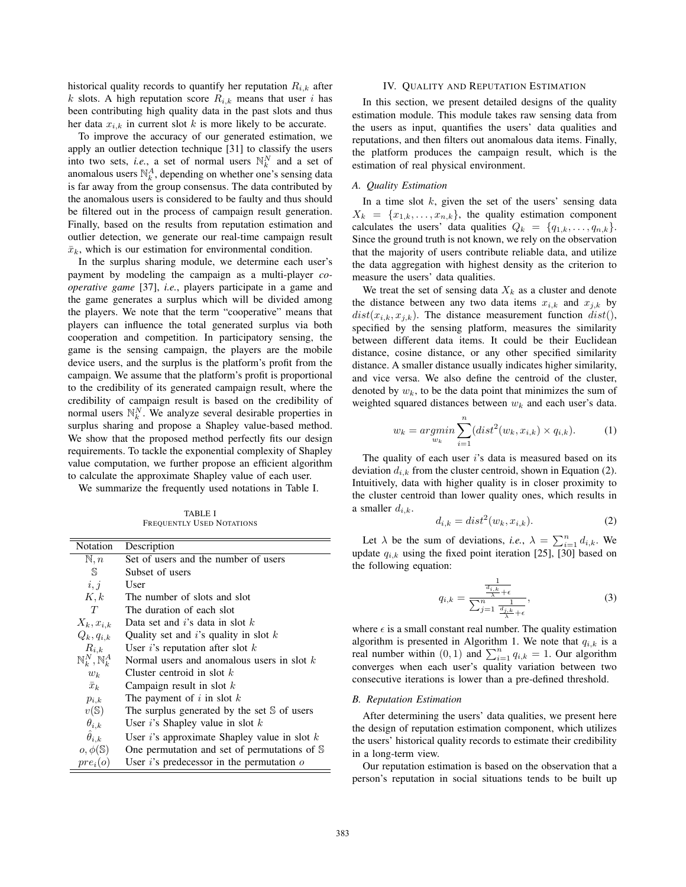historical quality records to quantify her reputation  $R_{i,k}$  after k slots. A high reputation score  $R_{i,k}$  means that user i has been contributing high quality data in the past slots and thus her data  $x_{i,k}$  in current slot k is more likely to be accurate.

To improve the accuracy of our generated estimation, we apply an outlier detection technique [31] to classify the users into two sets, *i.e.*, a set of normal users  $\mathbb{N}_k^N$  and a set of anomalous users  $\mathbb{N}_k^A$ , depending on whether one's sensing data is far away from the group consensus. The data contributed by the anomalous users is considered to be faulty and thus should be filtered out in the process of campaign result generation. Finally, based on the results from reputation estimation and outlier detection, we generate our real-time campaign result  $\bar{x}_k$ , which is our estimation for environmental condition.

In the surplus sharing module, we determine each user's payment by modeling the campaign as a multi-player *cooperative game* [37], *i.e.*, players participate in a game and the game generates a surplus which will be divided among the players. We note that the term "cooperative" means that players can influence the total generated surplus via both cooperation and competition. In participatory sensing, the game is the sensing campaign, the players are the mobile device users, and the surplus is the platform's profit from the campaign. We assume that the platform's profit is proportional to the credibility of its generated campaign result, where the credibility of campaign result is based on the credibility of normal users  $\mathbb{N}_k^N$ . We analyze several desirable properties in surplus sharing and propose a Shapley value-based method. We show that the proposed method perfectly fits our design requirements. To tackle the exponential complexity of Shapley value computation, we further propose an efficient algorithm to calculate the approximate Shapley value of each user.

We summarize the frequently used notations in Table I.

TABLE I FREQUENTLY USED NOTATIONS

| Notation                                 | Description                                            |
|------------------------------------------|--------------------------------------------------------|
| $\mathbb{N}, n$                          | Set of users and the number of users                   |
| S                                        | Subset of users                                        |
| i, j                                     | User                                                   |
| K, k                                     | The number of slots and slot                           |
| T                                        | The duration of each slot                              |
| $X_k, x_{i,k}$                           | Data set and i's data in slot $k$                      |
| $Q_k, q_{i,k}$                           | Quality set and i's quality in slot $k$                |
| $R_{i,k}$                                | User i's reputation after slot $k$                     |
| $\mathbb{N}_{k}^{N}, \mathbb{N}_{k}^{A}$ | Normal users and anomalous users in slot $k$           |
| $w_k$                                    | Cluster centroid in slot $k$                           |
| $\bar{x}_k$                              | Campaign result in slot $k$                            |
| $p_{i,k}$                                | The payment of i in slot $k$                           |
| $v(\mathbb{S})$                          | The surplus generated by the set $\mathcal S$ of users |
| $\theta_{i,k}$                           | User $i$ 's Shapley value in slot $k$                  |
| $\hat{\theta}_{i,k}$                     | User $i$ 's approximate Shapley value in slot $k$      |
| $o, \phi(\mathbb{S})$                    | One permutation and set of permutations of S           |
| $pre_i(o)$                               | User $i$ 's predecessor in the permutation $o$         |

# IV. QUALITY AND REPUTATION ESTIMATION

In this section, we present detailed designs of the quality estimation module. This module takes raw sensing data from the users as input, quantifies the users' data qualities and reputations, and then filters out anomalous data items. Finally, the platform produces the campaign result, which is the estimation of real physical environment.

## *A. Quality Estimation*

In a time slot  $k$ , given the set of the users' sensing data  $X_k = \{x_{1,k}, \ldots, x_{n,k}\}\$ , the quality estimation component calculates the users' data qualities  $Q_k = \{q_{1,k}, \ldots, q_{n,k}\}.$ Since the ground truth is not known, we rely on the observation that the majority of users contribute reliable data, and utilize the data aggregation with highest density as the criterion to measure the users' data qualities.

We treat the set of sensing data  $X_k$  as a cluster and denote the distance between any two data items  $x_{i,k}$  and  $x_{i,k}$  by  $dist(x_{i,k}, x_{i,k})$ . The distance measurement function  $dist($ ), specified by the sensing platform, measures the similarity between different data items. It could be their Euclidean distance, cosine distance, or any other specified similarity distance. A smaller distance usually indicates higher similarity, and vice versa. We also define the centroid of the cluster, denoted by  $w_k$ , to be the data point that minimizes the sum of weighted squared distances between  $w_k$  and each user's data.

$$
w_k = \underset{w_k}{\operatorname{argmin}} \sum_{i=1}^{n} (dist^2(w_k, x_{i,k}) \times q_{i,k}). \tag{1}
$$

The quality of each user  $i$ 's data is measured based on its deviation  $d_{i,k}$  from the cluster centroid, shown in Equation (2). Intuitively, data with higher quality is in closer proximity to the cluster centroid than lower quality ones, which results in a smaller  $d_{i,k}$ .

$$
d_{i,k} = dist^2(w_k, x_{i,k}).
$$
\n(2)

Let  $\lambda$  be the sum of deviations, *i.e.*,  $\lambda = \sum_{i=1}^{n} d_{i,k}$ . We update  $q_{i,k}$  using the fixed point iteration [25], [30] based on the following equation:

$$
q_{i,k} = \frac{\frac{1}{\frac{d_{i,k}}{\lambda} + \epsilon}}{\sum_{j=1}^{n} \frac{1}{\frac{d_{j,k}}{\lambda} + \epsilon}},
$$
\n(3)

where  $\epsilon$  is a small constant real number. The quality estimation algorithm is presented in Algorithm 1. We note that  $q_{i,k}$  is a real number within  $(0, 1)$  and  $\sum_{i=1}^{n} q_{i,k} = 1$ . Our algorithm converges when each user's quality variation between two consecutive iterations is lower than a pre-defined threshold.

## *B. Reputation Estimation*

After determining the users' data qualities, we present here the design of reputation estimation component, which utilizes the users' historical quality records to estimate their credibility in a long-term view.

Our reputation estimation is based on the observation that a person's reputation in social situations tends to be built up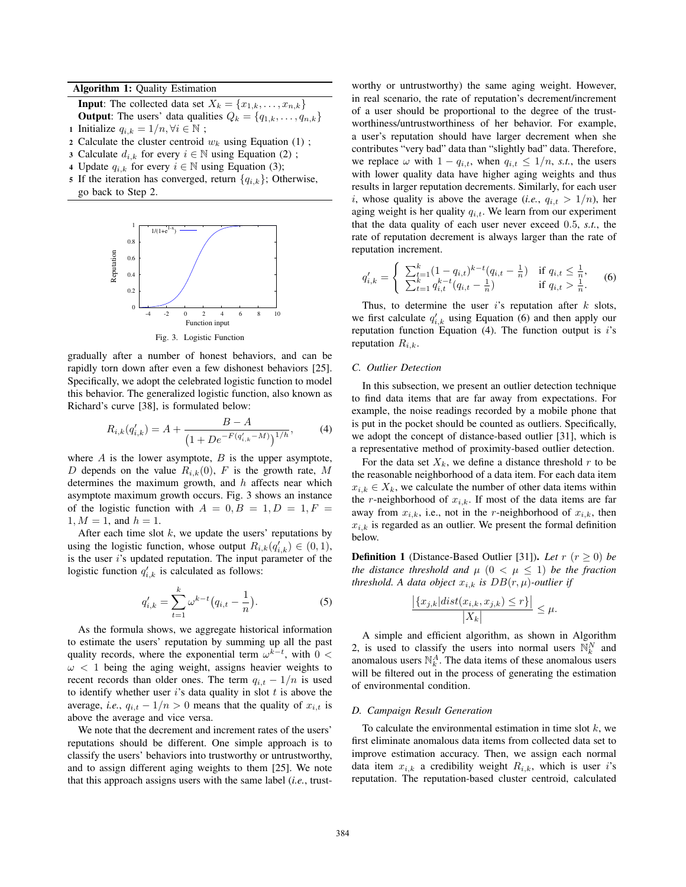Algorithm 1: Quality Estimation

**Input:** The collected data set  $X_k = \{x_{1,k}, \ldots, x_{n,k}\}\$ **Output:** The users' data qualities  $Q_k = \{q_{1,k}, \ldots, q_{n,k}\}\$ 

- 1 Initialize  $q_{i,k} = 1/n, \forall i \in \mathbb{N}$ ;
- 2 Calculate the cluster centroid  $w_k$  using Equation (1);
- 3 Calculate  $d_{i,k}$  for every  $i \in \mathbb{N}$  using Equation (2);
- 4 Update  $q_{i,k}$  for every  $i \in \mathbb{N}$  using Equation (3);
- 5 If the iteration has converged, return  $\{q_{i,k}\}\;$  Otherwise, go back to Step 2.



gradually after a number of honest behaviors, and can be rapidly torn down after even a few dishonest behaviors [25]. Specifically, we adopt the celebrated logistic function to model this behavior. The generalized logistic function, also known as Richard's curve [38], is formulated below:

$$
R_{i,k}(q'_{i,k}) = A + \frac{B - A}{\left(1 + De^{-F(q'_{i,k} - M)}\right)^{1/h}},\tag{4}
$$

where  $A$  is the lower asymptote,  $B$  is the upper asymptote, D depends on the value  $R_{i,k}(0)$ , F is the growth rate, M determines the maximum growth, and  $h$  affects near which asymptote maximum growth occurs. Fig. 3 shows an instance of the logistic function with  $A = 0, B = 1, D = 1, F =$  $1, M = 1$ , and  $h = 1$ .

After each time slot  $k$ , we update the users' reputations by using the logistic function, whose output  $R_{i,k}(q'_{i,k}) \in (0,1)$ , is the user i's updated reputation. The input parameter of the logistic function  $q'_{i,k}$  is calculated as follows:

$$
q'_{i,k} = \sum_{t=1}^{k} \omega^{k-t} \left( q_{i,t} - \frac{1}{n} \right).
$$
 (5)

As the formula shows, we aggregate historical information to estimate the users' reputation by summing up all the past quality records, where the exponential term  $\omega^{k-t}$ , with 0 <  $\omega$  < 1 being the aging weight, assigns heavier weights to recent records than older ones. The term  $q_{i,t} - 1/n$  is used to identify whether user  $i$ 's data quality in slot  $t$  is above the average, *i.e.*,  $q_{i,t} - 1/n > 0$  means that the quality of  $x_{i,t}$  is above the average and vice versa.

We note that the decrement and increment rates of the users' reputations should be different. One simple approach is to classify the users' behaviors into trustworthy or untrustworthy, and to assign different aging weights to them [25]. We note that this approach assigns users with the same label (*i.e.*, trustworthy or untrustworthy) the same aging weight. However, in real scenario, the rate of reputation's decrement/increment of a user should be proportional to the degree of the trustworthiness/untrustworthiness of her behavior. For example, a user's reputation should have larger decrement when she contributes "very bad" data than "slightly bad" data. Therefore, we replace  $\omega$  with  $1 - q_{i,t}$ , when  $q_{i,t} \leq 1/n$ , *s.t.*, the users with lower quality data have higher aging weights and thus results in larger reputation decrements. Similarly, for each user i, whose quality is above the average (*i.e.*,  $q_{i,t} > 1/n$ ), her aging weight is her quality  $q_{i,t}$ . We learn from our experiment that the data quality of each user never exceed 0.5, *s.t.*, the rate of reputation decrement is always larger than the rate of reputation increment.

$$
q'_{i,k} = \begin{cases} \sum_{t=1}^{k} (1 - q_{i,t})^{k-t} (q_{i,t} - \frac{1}{n}) & \text{if } q_{i,t} \leq \frac{1}{n}, \\ \sum_{t=1}^{k} q_{i,t}^{k-t} (q_{i,t} - \frac{1}{n}) & \text{if } q_{i,t} > \frac{1}{n}. \end{cases}
$$
 (6)

Thus, to determine the user  $i$ 's reputation after  $k$  slots, we first calculate  $q'_{i,k}$  using Equation (6) and then apply our reputation function Equation  $(4)$ . The function output is i's reputation  $R_{i,k}$ .

# *C. Outlier Detection*

In this subsection, we present an outlier detection technique to find data items that are far away from expectations. For example, the noise readings recorded by a mobile phone that is put in the pocket should be counted as outliers. Specifically, we adopt the concept of distance-based outlier [31], which is a representative method of proximity-based outlier detection.

For the data set  $X_k$ , we define a distance threshold r to be the reasonable neighborhood of a data item. For each data item  $x_{i,k} \in X_k$ , we calculate the number of other data items within the r-neighborhood of  $x_{i,k}$ . If most of the data items are far away from  $x_{i,k}$ , i.e., not in the r-neighborhood of  $x_{i,k}$ , then  $x_{i,k}$  is regarded as an outlier. We present the formal definition below.

**Definition 1** (Distance-Based Outlier [31]). *Let*  $r (r \ge 0)$  *be the distance threshold and*  $\mu$   $(0 \lt \mu \leq 1)$  *be the fraction threshold. A data object*  $x_{i,k}$  *is*  $DB(r, \mu)$ *-outlier if* 

$$
\frac{|\{x_{j,k}|dist(x_{i,k}, x_{j,k}) \le r\}|}{|X_k|} \le \mu.
$$

A simple and efficient algorithm, as shown in Algorithm 2, is used to classify the users into normal users  $\mathbb{N}_k^N$  and anomalous users  $\mathbb{N}_{k}^{A}$ . The data items of these anomalous users will be filtered out in the process of generating the estimation of environmental condition.

#### *D. Campaign Result Generation*

To calculate the environmental estimation in time slot  $k$ , we first eliminate anomalous data items from collected data set to improve estimation accuracy. Then, we assign each normal data item  $x_{i,k}$  a credibility weight  $R_{i,k}$ , which is user i's reputation. The reputation-based cluster centroid, calculated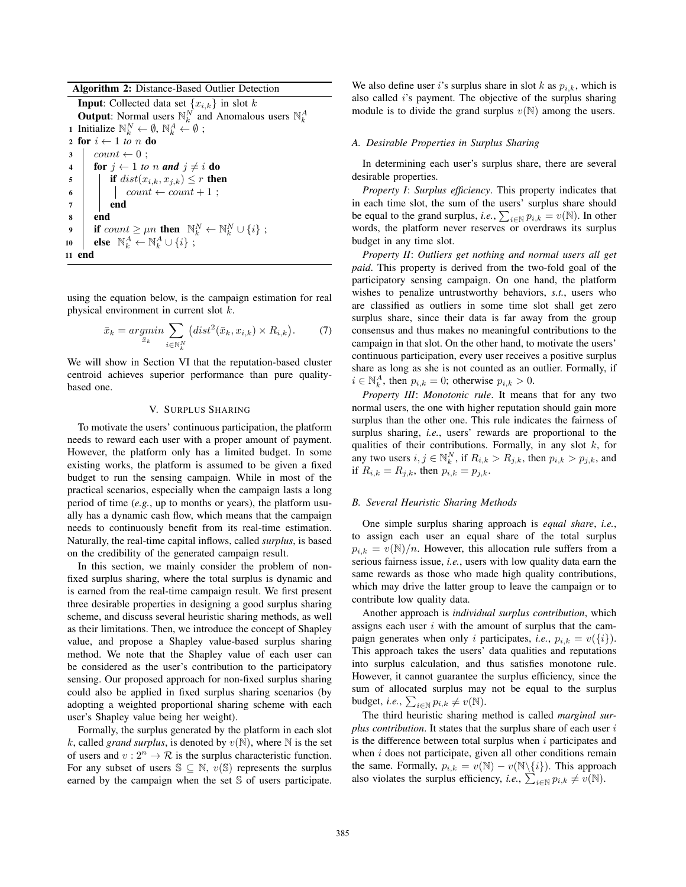## Algorithm 2: Distance-Based Outlier Detection

**Input:** Collected data set  $\{x_{i,k}\}\$ in slot k **Output**: Normal users  $\mathbb{N}_k^N$  and Anomalous users  $\mathbb{N}_k^A$ 1 Initialize  $\mathbb{N}_k^N \leftarrow \emptyset$ ,  $\mathbb{N}_k^A \leftarrow \emptyset$ ; 2 for  $i \leftarrow 1$  to n do  $3 \mid count \leftarrow 0$ ; 4 **for**  $j \leftarrow 1$  *to n* **and**  $j \neq i$  **do** 5 **if** dist $(x_{i,k}, x_{j,k}) \leq r$  then 6 count  $\leftarrow$  count + 1;  $7 \mid \cdot \cdot \cdot$  end <sup>8</sup> end 9 if  $count \geq \mu n$  then  $\mathbb{N}_k^N \leftarrow \mathbb{N}_k^N \cup \{i\}$ ; 10 | else  $\mathbb{N}_k^A \leftarrow \mathbb{N}_k^A \cup \{i\}$  ; <sup>11</sup> end

using the equation below, is the campaign estimation for real physical environment in current slot k.

$$
\bar{x}_k = \underset{\bar{x}_k}{\operatorname{argmin}} \sum_{i \in \mathbb{N}_k^N} \left( \operatorname{dist}^2(\bar{x}_k, x_{i,k}) \times R_{i,k} \right). \tag{7}
$$

We will show in Section VI that the reputation-based cluster centroid achieves superior performance than pure qualitybased one.

## V. SURPLUS SHARING

To motivate the users' continuous participation, the platform needs to reward each user with a proper amount of payment. However, the platform only has a limited budget. In some existing works, the platform is assumed to be given a fixed budget to run the sensing campaign. While in most of the practical scenarios, especially when the campaign lasts a long period of time (*e.g.*, up to months or years), the platform usually has a dynamic cash flow, which means that the campaign needs to continuously benefit from its real-time estimation. Naturally, the real-time capital inflows, called *surplus*, is based on the credibility of the generated campaign result.

In this section, we mainly consider the problem of nonfixed surplus sharing, where the total surplus is dynamic and is earned from the real-time campaign result. We first present three desirable properties in designing a good surplus sharing scheme, and discuss several heuristic sharing methods, as well as their limitations. Then, we introduce the concept of Shapley value, and propose a Shapley value-based surplus sharing method. We note that the Shapley value of each user can be considered as the user's contribution to the participatory sensing. Our proposed approach for non-fixed surplus sharing could also be applied in fixed surplus sharing scenarios (by adopting a weighted proportional sharing scheme with each user's Shapley value being her weight).

Formally, the surplus generated by the platform in each slot k, called *grand surplus*, is denoted by  $v(\mathbb{N})$ , where  $\mathbb N$  is the set of users and  $v: 2^n \to \mathcal{R}$  is the surplus characteristic function. For any subset of users  $\mathbb{S} \subseteq \mathbb{N}$ ,  $v(\mathbb{S})$  represents the surplus earned by the campaign when the set S of users participate.

We also define user i's surplus share in slot k as  $p_{i,k}$ , which is also called  $i$ 's payment. The objective of the surplus sharing module is to divide the grand surplus  $v(N)$  among the users.

#### *A. Desirable Properties in Surplus Sharing*

In determining each user's surplus share, there are several desirable properties.

*Property I*: *Surplus efficiency*. This property indicates that in each time slot, the sum of the users' surplus share should be equal to the grand surplus, *i.e.*,  $\sum_{i \in \mathbb{N}} p_{i,k} = v(\mathbb{N})$ . In other words, the platform never reserves or overdraws its surplus budget in any time slot.

*Property II*: *Outliers get nothing and normal users all get paid*. This property is derived from the two-fold goal of the participatory sensing campaign. On one hand, the platform wishes to penalize untrustworthy behaviors, *s.t.*, users who are classified as outliers in some time slot shall get zero surplus share, since their data is far away from the group consensus and thus makes no meaningful contributions to the campaign in that slot. On the other hand, to motivate the users' continuous participation, every user receives a positive surplus share as long as she is not counted as an outlier. Formally, if  $i \in \mathbb{N}_k^A$ , then  $p_{i,k} = 0$ ; otherwise  $p_{i,k} > 0$ .

*Property III*: *Monotonic rule*. It means that for any two normal users, the one with higher reputation should gain more surplus than the other one. This rule indicates the fairness of surplus sharing, *i.e.*, users' rewards are proportional to the qualities of their contributions. Formally, in any slot  $k$ , for any two users  $i, j \in \mathbb{N}_k^N$ , if  $R_{i,k} > R_{j,k}$ , then  $p_{i,k} > p_{j,k}$ , and if  $R_{i,k} = R_{j,k}$ , then  $p_{i,k} = p_{j,k}$ .

## *B. Several Heuristic Sharing Methods*

One simple surplus sharing approach is *equal share*, *i.e.*, to assign each user an equal share of the total surplus  $p_{i,k} = v(\mathbb{N})/n$ . However, this allocation rule suffers from a serious fairness issue, *i.e.*, users with low quality data earn the same rewards as those who made high quality contributions, which may drive the latter group to leave the campaign or to contribute low quality data.

Another approach is *individual surplus contribution*, which assigns each user  $i$  with the amount of surplus that the campaign generates when only *i* participates, *i.e.*,  $p_{i,k} = v({i})$ . This approach takes the users' data qualities and reputations into surplus calculation, and thus satisfies monotone rule. However, it cannot guarantee the surplus efficiency, since the sum of allocated surplus may not be equal to the surplus budget, *i.e.*,  $\sum_{i \in \mathbb{N}} p_{i,k} \neq v(\mathbb{N})$ .

The third heuristic sharing method is called *marginal surplus contribution*. It states that the surplus share of each user i is the difference between total surplus when  $i$  participates and when  $i$  does not participate, given all other conditions remain the same. Formally,  $p_{i,k} = v(\mathbb{N}) - v(\mathbb{N}\setminus\{i\})$ . This approach also violates the surplus efficiency, *i.e.*,  $\sum_{i \in \mathbb{N}} p_{i,k} \neq v(\mathbb{N})$ .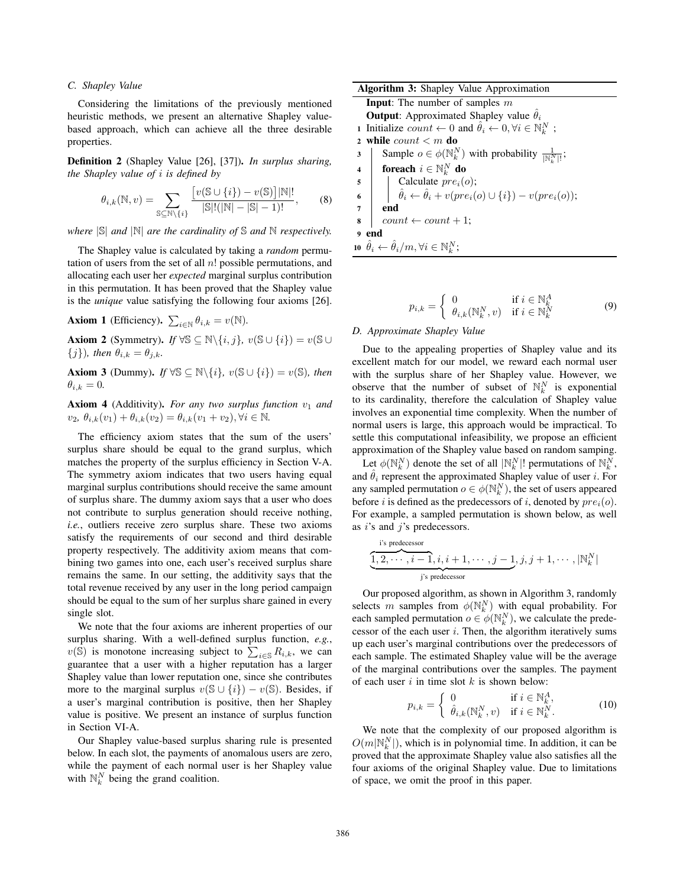## *C. Shapley Value*

Considering the limitations of the previously mentioned heuristic methods, we present an alternative Shapley valuebased approach, which can achieve all the three desirable properties.

Definition 2 (Shapley Value [26], [37]). *In surplus sharing, the Shapley value of* i *is defined by*

$$
\theta_{i,k}(\mathbb{N}, v) = \sum_{\mathbb{S} \subseteq \mathbb{N} \setminus \{i\}} \frac{\left[v(\mathbb{S} \cup \{i\}) - v(\mathbb{S})\right] |\mathbb{N}|!}{|\mathbb{S}|!(|\mathbb{N}| - |\mathbb{S}| - 1)!},\tag{8}
$$

*where* |S| *and* |N| *are the cardinality of* S *and* N *respectively.*

The Shapley value is calculated by taking a *random* permutation of users from the set of all  $n!$  possible permutations, and allocating each user her *expected* marginal surplus contribution in this permutation. It has been proved that the Shapley value is the *unique* value satisfying the following four axioms [26].

**Axiom 1** (Efficiency).  $\sum_{i \in \mathbb{N}} \theta_{i,k} = v(\mathbb{N})$ .

**Axiom 2** (Symmetry). *If*  $\forall \mathbb{S} \subseteq \mathbb{N} \setminus \{i, j\}, v(\mathbb{S} \cup \{i\}) = v(\mathbb{S} \cup$  ${j}$ *), then*  $\theta_{i,k} = \theta_{j,k}$ *.* 

**Axiom 3** (Dummy). *If*  $\forall \mathbb{S} \subseteq \mathbb{N} \setminus \{i\}, v(\mathbb{S} \cup \{i\}) = v(\mathbb{S})$ , then  $\theta_{i,k} = 0.$ 

Axiom 4 (Additivity). *For any two surplus function*  $v_1$  *and*  $v_2, \theta_{i,k}(v_1) + \theta_{i,k}(v_2) = \theta_{i,k}(v_1 + v_2), \forall i \in \mathbb{N}.$ 

The efficiency axiom states that the sum of the users' surplus share should be equal to the grand surplus, which matches the property of the surplus efficiency in Section V-A. The symmetry axiom indicates that two users having equal marginal surplus contributions should receive the same amount of surplus share. The dummy axiom says that a user who does not contribute to surplus generation should receive nothing, *i.e.*, outliers receive zero surplus share. These two axioms satisfy the requirements of our second and third desirable property respectively. The additivity axiom means that combining two games into one, each user's received surplus share remains the same. In our setting, the additivity says that the total revenue received by any user in the long period campaign should be equal to the sum of her surplus share gained in every single slot.

We note that the four axioms are inherent properties of our surplus sharing. With a well-defined surplus function, *e.g.*,  $v(\mathbb{S})$  is monotone increasing subject to  $\sum_{i \in \mathbb{S}} R_{i,k}$ , we can guarantee that a user with a higher reputation has a larger Shapley value than lower reputation one, since she contributes more to the marginal surplus  $v(\mathbb{S} \cup \{i\}) - v(\mathbb{S})$ . Besides, if a user's marginal contribution is positive, then her Shapley value is positive. We present an instance of surplus function in Section VI-A.

Our Shapley value-based surplus sharing rule is presented below. In each slot, the payments of anomalous users are zero, while the payment of each normal user is her Shapley value with  $\mathbb{N}_k^N$  being the grand coalition.

| <b>Input:</b> The number of samples $m$<br><b>Output:</b> Approximated Shapley value $\hat{\theta}_i$<br>1 Initialize count $\leftarrow 0$ and $\hat{\theta}_i \leftarrow 0, \forall i \in \mathbb{N}_k^N$ ;<br>2 while $count < m$ do<br>Sample $o \in \phi(\mathbb{N}_k^N)$ with probability $\frac{1}{\ \mathbb{N}_k^N\ }$ ;<br>3<br>foreach $i \in \mathbb{N}_k^N$ do<br>$\overline{\mathbf{4}}$<br>5<br>6<br>$\hat{\theta}_i \leftarrow \hat{\theta}_i + v(\text{pre}_i(o) \cup \{i\}) - v(\text{pre}_i(o));$<br>$\overline{7}$<br>end<br>$count \leftarrow count + 1;$<br>8<br>end<br>$\mathbf{Q}$<br>10 $\hat{\theta}_i \leftarrow \hat{\theta}_i/m, \forall i \in \mathbb{N}_k^N;$ | <b>Algorithm 3:</b> Shapley Value Approximation |  |  |
|--------------------------------------------------------------------------------------------------------------------------------------------------------------------------------------------------------------------------------------------------------------------------------------------------------------------------------------------------------------------------------------------------------------------------------------------------------------------------------------------------------------------------------------------------------------------------------------------------------------------------------------------------------------------------------------------|-------------------------------------------------|--|--|
|                                                                                                                                                                                                                                                                                                                                                                                                                                                                                                                                                                                                                                                                                            |                                                 |  |  |
|                                                                                                                                                                                                                                                                                                                                                                                                                                                                                                                                                                                                                                                                                            |                                                 |  |  |
|                                                                                                                                                                                                                                                                                                                                                                                                                                                                                                                                                                                                                                                                                            |                                                 |  |  |
|                                                                                                                                                                                                                                                                                                                                                                                                                                                                                                                                                                                                                                                                                            |                                                 |  |  |
|                                                                                                                                                                                                                                                                                                                                                                                                                                                                                                                                                                                                                                                                                            |                                                 |  |  |
|                                                                                                                                                                                                                                                                                                                                                                                                                                                                                                                                                                                                                                                                                            |                                                 |  |  |
|                                                                                                                                                                                                                                                                                                                                                                                                                                                                                                                                                                                                                                                                                            |                                                 |  |  |
|                                                                                                                                                                                                                                                                                                                                                                                                                                                                                                                                                                                                                                                                                            |                                                 |  |  |
|                                                                                                                                                                                                                                                                                                                                                                                                                                                                                                                                                                                                                                                                                            |                                                 |  |  |
|                                                                                                                                                                                                                                                                                                                                                                                                                                                                                                                                                                                                                                                                                            |                                                 |  |  |
|                                                                                                                                                                                                                                                                                                                                                                                                                                                                                                                                                                                                                                                                                            |                                                 |  |  |
|                                                                                                                                                                                                                                                                                                                                                                                                                                                                                                                                                                                                                                                                                            |                                                 |  |  |

$$
p_{i,k} = \begin{cases} 0 & \text{if } i \in \mathbb{N}_k^A \\ \theta_{i,k}(\mathbb{N}_k^N, v) & \text{if } i \in \mathbb{N}_k^N \end{cases}
$$
 (9)

## *D. Approximate Shapley Value*

Due to the appealing properties of Shapley value and its excellent match for our model, we reward each normal user with the surplus share of her Shapley value. However, we observe that the number of subset of  $\mathbb{N}_k^N$  is exponential to its cardinality, therefore the calculation of Shapley value involves an exponential time complexity. When the number of normal users is large, this approach would be impractical. To settle this computational infeasibility, we propose an efficient approximation of the Shapley value based on random samping.

Let  $\phi(\mathbb{N}_k^N)$  denote the set of all  $|\mathbb{N}_k^N|!$  permutations of  $\mathbb{N}_k^N$ , and  $\hat{\theta}_i$  represent the approximated Shapley value of user i. For any sampled permutation  $o \in \phi(\mathbb{N}_k^N)$ , the set of users appeared before i is defined as the predecessors of i, denoted by  $pre<sub>i</sub>(o)$ . For example, a sampled permutation is shown below, as well as  $i$ 's and  $j$ 's predecessors.

$$
\underbrace{1, 2, \cdots, i-1, i, i+1, \cdots, j-1}_{j \text{ is predecessor}}, j, j+1, \cdots, |\mathbb{N}_k^N|
$$

Our proposed algorithm, as shown in Algorithm 3, randomly selects m samples from  $\phi(\mathbb{N}_k^N)$  with equal probability. For each sampled permutation  $o \in \phi(\mathbb{N}_k^N)$ , we calculate the predecessor of the each user  $i$ . Then, the algorithm iteratively sums up each user's marginal contributions over the predecessors of each sample. The estimated Shapley value will be the average of the marginal contributions over the samples. The payment of each user  $i$  in time slot  $k$  is shown below:

$$
p_{i,k} = \begin{cases} 0 & \text{if } i \in \mathbb{N}_k^A, \\ \hat{\theta}_{i,k}(\mathbb{N}_k^N, v) & \text{if } i \in \mathbb{N}_k^N. \end{cases}
$$
 (10)

We note that the complexity of our proposed algorithm is  $O(m|\mathbb{N}_k^N|)$ , which is in polynomial time. In addition, it can be proved that the approximate Shapley value also satisfies all the four axioms of the original Shapley value. Due to limitations of space, we omit the proof in this paper.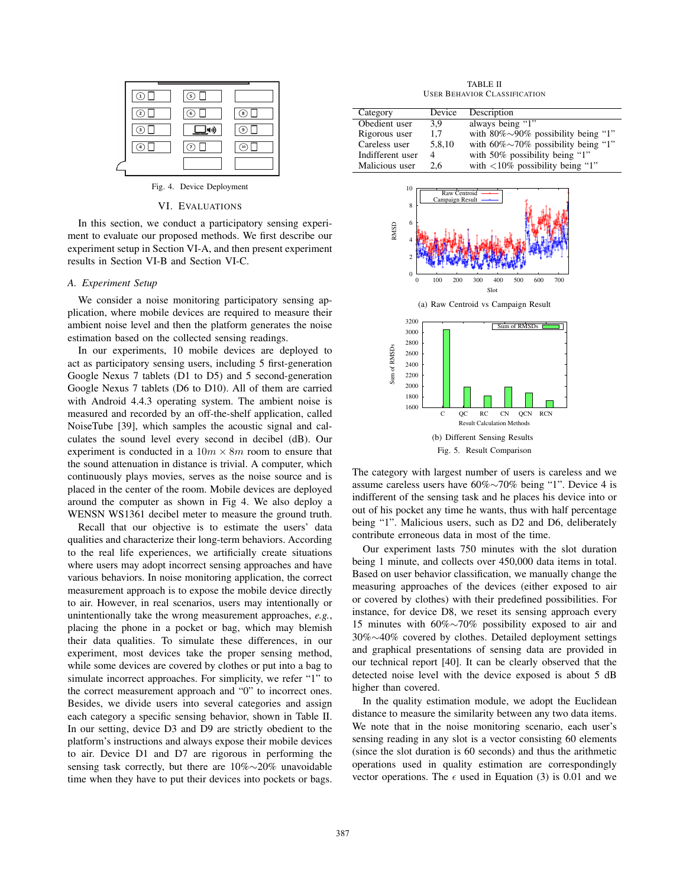|                         | $\overline{5}$ |            |
|-------------------------|----------------|------------|
| $\left( 2\right)$<br>ĆЗ | $\odot$        | (8)<br>( ၁ |
| 4                       | 7              | (10        |

Fig. 4. Device Deployment

## VI. EVALUATIONS

In this section, we conduct a participatory sensing experiment to evaluate our proposed methods. We first describe our experiment setup in Section VI-A, and then present experiment results in Section VI-B and Section VI-C.

## *A. Experiment Setup*

We consider a noise monitoring participatory sensing application, where mobile devices are required to measure their ambient noise level and then the platform generates the noise estimation based on the collected sensing readings.

In our experiments, 10 mobile devices are deployed to act as participatory sensing users, including 5 first-generation Google Nexus 7 tablets (D1 to D5) and 5 second-generation Google Nexus 7 tablets (D6 to D10). All of them are carried with Android 4.4.3 operating system. The ambient noise is measured and recorded by an off-the-shelf application, called NoiseTube [39], which samples the acoustic signal and calculates the sound level every second in decibel (dB). Our experiment is conducted in a  $10m \times 8m$  room to ensure that the sound attenuation in distance is trivial. A computer, which continuously plays movies, serves as the noise source and is placed in the center of the room. Mobile devices are deployed around the computer as shown in Fig 4. We also deploy a WENSN WS1361 decibel meter to measure the ground truth.

Recall that our objective is to estimate the users' data qualities and characterize their long-term behaviors. According to the real life experiences, we artificially create situations where users may adopt incorrect sensing approaches and have various behaviors. In noise monitoring application, the correct measurement approach is to expose the mobile device directly to air. However, in real scenarios, users may intentionally or unintentionally take the wrong measurement approaches, *e.g.*, placing the phone in a pocket or bag, which may blemish their data qualities. To simulate these differences, in our experiment, most devices take the proper sensing method, while some devices are covered by clothes or put into a bag to simulate incorrect approaches. For simplicity, we refer "1" to the correct measurement approach and "0" to incorrect ones. Besides, we divide users into several categories and assign each category a specific sensing behavior, shown in Table II. In our setting, device D3 and D9 are strictly obedient to the platform's instructions and always expose their mobile devices to air. Device D1 and D7 are rigorous in performing the sensing task correctly, but there are 10%∼20% unavoidable time when they have to put their devices into pockets or bags.

TABLE II USER BEHAVIOR CLASSIFICATION

| Category         | Device | Description                                 |
|------------------|--------|---------------------------------------------|
| Obedient user    | 3.9    | always being "1"                            |
| Rigorous user    | 1.7    | with $80\% \sim 90\%$ possibility being "1" |
| Careless user    | 5.8.10 | with $60\% \sim 70\%$ possibility being "1" |
| Indifferent user | 4      | with 50% possibility being "1"              |
| Malicious user   | 2.6    | with $\langle 10\%$ possibility being "1"   |
|                  |        |                                             |



The category with largest number of users is careless and we assume careless users have 60%∼70% being "1". Device 4 is indifferent of the sensing task and he places his device into or out of his pocket any time he wants, thus with half percentage being "1". Malicious users, such as D2 and D6, deliberately contribute erroneous data in most of the time.

Our experiment lasts 750 minutes with the slot duration being 1 minute, and collects over 450,000 data items in total. Based on user behavior classification, we manually change the measuring approaches of the devices (either exposed to air or covered by clothes) with their predefined possibilities. For instance, for device D8, we reset its sensing approach every 15 minutes with 60%∼70% possibility exposed to air and 30%∼40% covered by clothes. Detailed deployment settings and graphical presentations of sensing data are provided in our technical report [40]. It can be clearly observed that the detected noise level with the device exposed is about 5 dB higher than covered.

In the quality estimation module, we adopt the Euclidean distance to measure the similarity between any two data items. We note that in the noise monitoring scenario, each user's sensing reading in any slot is a vector consisting 60 elements (since the slot duration is 60 seconds) and thus the arithmetic operations used in quality estimation are correspondingly vector operations. The  $\epsilon$  used in Equation (3) is 0.01 and we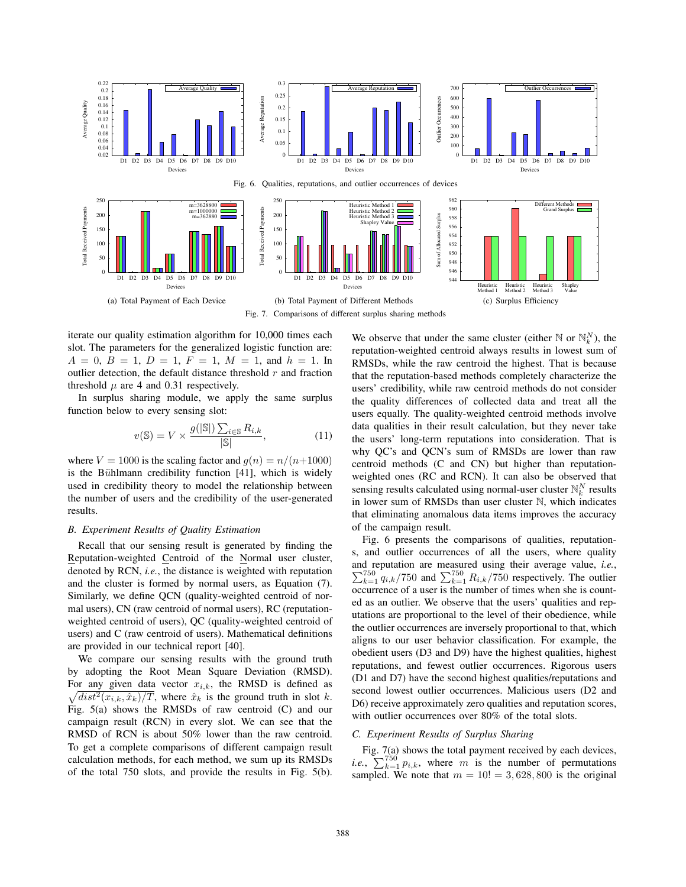

iterate our quality estimation algorithm for 10,000 times each slot. The parameters for the generalized logistic function are:  $A = 0, B = 1, D = 1, F = 1, M = 1, \text{ and } h = 1.$  In outlier detection, the default distance threshold  $r$  and fraction threshold  $\mu$  are 4 and 0.31 respectively.

In surplus sharing module, we apply the same surplus function below to every sensing slot:

$$
v(\mathbb{S}) = V \times \frac{g(|\mathbb{S}|) \sum_{i \in \mathbb{S}} R_{i,k}}{|\mathbb{S}|},\tag{11}
$$

where  $V = 1000$  is the scaling factor and  $g(n) = n/(n+1000)$ is the Bühlmann credibility function  $[41]$ , which is widely used in credibility theory to model the relationship between the number of users and the credibility of the user-generated results.

#### *B. Experiment Results of Quality Estimation*

Recall that our sensing result is generated by finding the Reputation-weighted Centroid of the Normal user cluster, denoted by RCN, *i.e.*, the distance is weighted with reputation and the cluster is formed by normal users, as Equation (7). Similarly, we define QCN (quality-weighted centroid of normal users), CN (raw centroid of normal users), RC (reputationweighted centroid of users), QC (quality-weighted centroid of users) and C (raw centroid of users). Mathematical definitions are provided in our technical report [40].

We compare our sensing results with the ground truth by adopting the Root Mean Square Deviation (RMSD). For any given data vector  $x_{i,k}$ , the RMSD is defined as  $\sqrt{dist^2(x_{i,k}, \hat{x}_k)/T}$ , where  $\hat{x}_k$  is the ground truth in slot k.  $\sqrt{dist^2(x_{i,k}, \hat{x}_k)/T}$ , where  $\hat{x}_k$  is the ground truth in slot k. Fig. 5(a) shows the RMSDs of raw centroid (C) and our campaign result (RCN) in every slot. We can see that the RMSD of RCN is about 50% lower than the raw centroid. To get a complete comparisons of different campaign result calculation methods, for each method, we sum up its RMSDs of the total 750 slots, and provide the results in Fig. 5(b).

We observe that under the same cluster (either  $\mathbb{N}$  or  $\mathbb{N}_{k}^{N}$ ), the reputation-weighted centroid always results in lowest sum of RMSDs, while the raw centroid the highest. That is because that the reputation-based methods completely characterize the users' credibility, while raw centroid methods do not consider the quality differences of collected data and treat all the users equally. The quality-weighted centroid methods involve data qualities in their result calculation, but they never take the users' long-term reputations into consideration. That is why QC's and QCN's sum of RMSDs are lower than raw centroid methods (C and CN) but higher than reputationweighted ones (RC and RCN). It can also be observed that sensing results calculated using normal-user cluster  $\mathbb{N}_k^N$  results in lower sum of RMSDs than user cluster N, which indicates that eliminating anomalous data items improves the accuracy of the campaign result.

Fig. 6 presents the comparisons of qualities, reputations, and outlier occurrences of all the users, where quality and reputation are measured using their average value, and reputation are measured using their average value, *i.e.*,  $\sum_{k=1}^{750} q_{i,k}/750$  and  $\sum_{k=1}^{750} R_{i,k}/750$  respectively. The outlier occurrence of a user is the number of times when she is counted as an outlier. We observe that the users' qualities and reputations are proportional to the level of their obedience, while the outlier occurrences are inversely proportional to that, which aligns to our user behavior classification. For example, the obedient users (D3 and D9) have the highest qualities, highest reputations, and fewest outlier occurrences. Rigorous users (D1 and D7) have the second highest qualities/reputations and second lowest outlier occurrences. Malicious users (D2 and D6) receive approximately zero qualities and reputation scores, with outlier occurrences over 80% of the total slots.

## *C. Experiment Results of Surplus Sharing*

Fig. 7(a) shows the total payment received by each devices, *i.e.*,  $\sum_{k=1}^{750} p_{i,k}$ , where m is the number of permutations sampled. We note that  $m = 10! = 3,628,800$  is the original